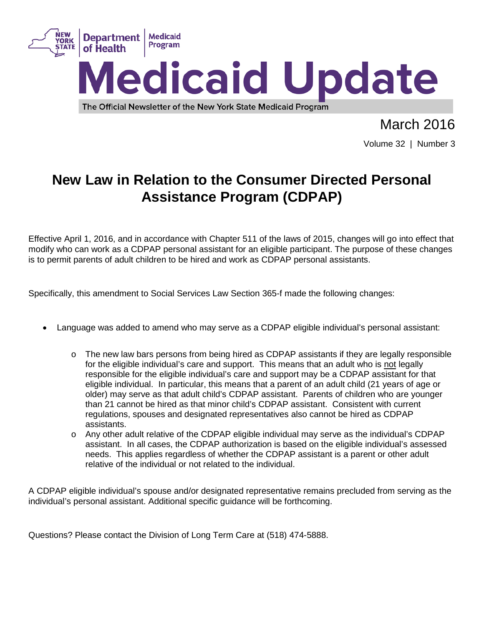

March 2016

Volume 32 | Number 3

# **New Law in Relation to the Consumer Directed Personal Assistance Program (CDPAP)**

Effective April 1, 2016, and in accordance with Chapter 511 of the laws of 2015, changes will go into effect that modify who can work as a CDPAP personal assistant for an eligible participant. The purpose of these changes is to permit parents of adult children to be hired and work as CDPAP personal assistants.

Specifically, this amendment to Social Services Law Section 365-f made the following changes:

- Language was added to amend who may serve as a CDPAP eligible individual's personal assistant:
	- $\circ$  The new law bars persons from being hired as CDPAP assistants if they are legally responsible for the eligible individual's care and support. This means that an adult who is not legally responsible for the eligible individual's care and support may be a CDPAP assistant for that eligible individual. In particular, this means that a parent of an adult child (21 years of age or older) may serve as that adult child's CDPAP assistant. Parents of children who are younger than 21 cannot be hired as that minor child's CDPAP assistant. Consistent with current regulations, spouses and designated representatives also cannot be hired as CDPAP assistants.
	- o Any other adult relative of the CDPAP eligible individual may serve as the individual's CDPAP assistant. In all cases, the CDPAP authorization is based on the eligible individual's assessed needs. This applies regardless of whether the CDPAP assistant is a parent or other adult relative of the individual or not related to the individual.

A CDPAP eligible individual's spouse and/or designated representative remains precluded from serving as the individual's personal assistant. Additional specific guidance will be forthcoming.

Questions? Please contact the Division of Long Term Care at (518) 474-5888.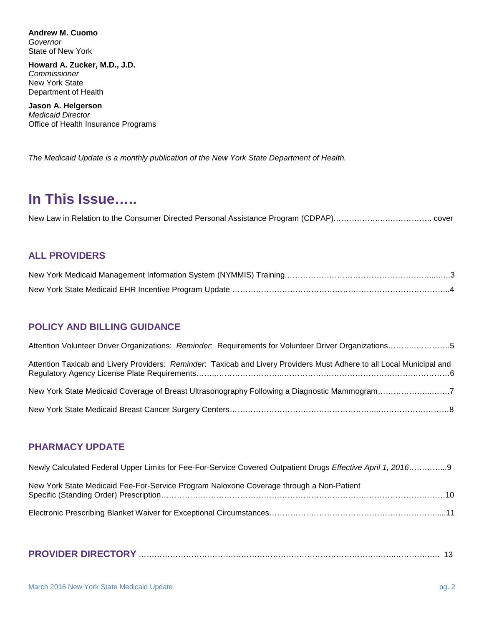**Andrew M. Cuomo**  *Governor*  State of New York

**Howard A. Zucker, M.D., J.D.**  *Commissioner*  New York State Department of Health

**Jason A. Helgerson**  *Medicaid Director*  Office of Health Insurance Programs

*The Medicaid Update is a monthly publication of the New York State Department of Health.*

### **In This Issue…..**

New Law in Relation to the Consumer Directed Personal Assistance Program (CDPAP).…………….….…………….. cover

### **ALL PROVIDERS**

### **POLICY AND BILLING GUIDANCE**

| Attention Volunteer Driver Organizations: Reminder: Requirements for Volunteer Driver Organizations5                  |
|-----------------------------------------------------------------------------------------------------------------------|
| Attention Taxicab and Livery Providers: Reminder. Taxicab and Livery Providers Must Adhere to all Local Municipal and |
| New York State Medicaid Coverage of Breast Ultrasonography Following a Diagnostic Mammogram7                          |
|                                                                                                                       |

### **PHARMACY UPDATE**

| Newly Calculated Federal Upper Limits for Fee-For-Service Covered Outpatient Drugs Effective April 1, 20169 |  |
|-------------------------------------------------------------------------------------------------------------|--|
| New York State Medicaid Fee-For-Service Program Naloxone Coverage through a Non-Patient                     |  |
|                                                                                                             |  |

|--|--|--|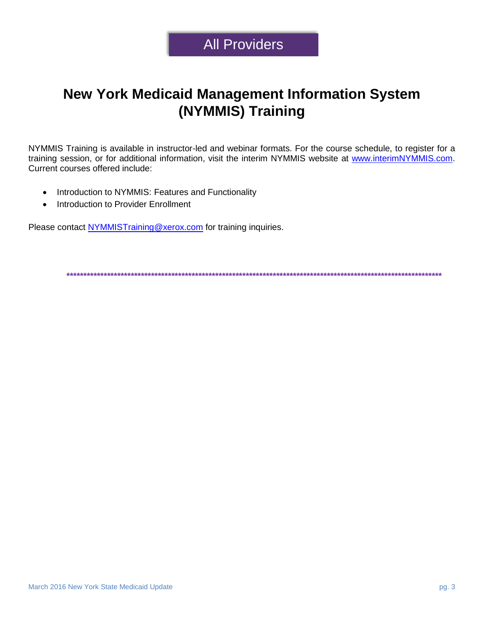# **All Providers**

# **New York Medicaid Management Information System** (NYMMIS) Training

NYMMIS Training is available in instructor-led and webinar formats. For the course schedule, to register for a training session, or for additional information, visit the interim NYMMIS website at www.interimNYMMIS.com. Current courses offered include:

- Introduction to NYMMIS: Features and Functionality  $\bullet$
- Introduction to Provider Enrollment  $\bullet$

Please contact NYMMISTraining@xerox.com for training inquiries.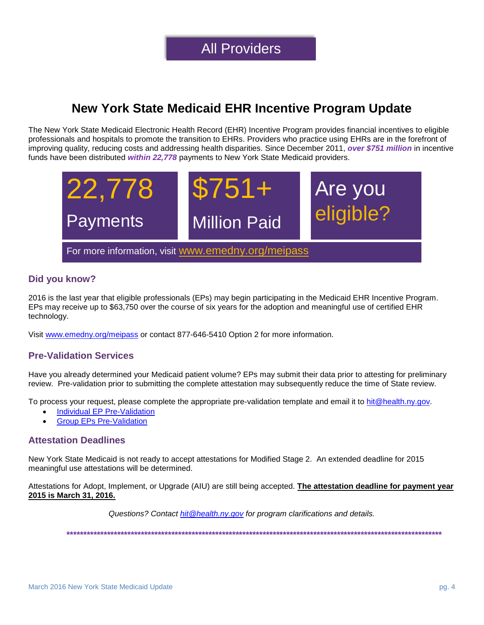### **New York State Medicaid EHR Incentive Program Update**

The New York State Medicaid Electronic Health Record (EHR) Incentive Program provides financial incentives to eligible professionals and hospitals to promote the transition to EHRs. Providers who practice using EHRs are in the forefront of improving quality, reducing costs and addressing health disparities. Since December 2011, *over \$751 million* in incentive funds have been distributed *within 22,778* payments to New York State Medicaid providers.



### **Did you know?**

2016 is the last year that eligible professionals (EPs) may begin participating in the Medicaid EHR Incentive Program. EPs may receive up to \$63,750 over the course of six years for the adoption and meaningful use of certified EHR technology.

Visit [www.emedny.org/meipass](http://www.emedny.org/meipass) or contact 877-646-5410 Option 2 for more information.

#### **Pre-Validation Services**

Have you already determined your Medicaid patient volume? EPs may submit their data prior to attesting for preliminary review. Pre-validation prior to submitting the complete attestation may subsequently reduce the time of State review.

To process your request, please complete the appropriate pre-validation template and email it to [hit@health.ny.gov.](mailto:hit@health.ny.gov)

- [Individual EP Pre-Validation](https://www.emedny.org/meipass/webinar/prevalidation_individual.xlsx)
- [Group EPs Pre-Validation](https://www.emedny.org/meipass/webinar/prevalidation_group.xlsx)

#### **Attestation Deadlines**

New York State Medicaid is not ready to accept attestations for Modified Stage 2. An extended deadline for 2015 meaningful use attestations will be determined.

Attestations for Adopt, Implement, or Upgrade (AIU) are still being accepted. **The attestation deadline for payment year 2015 is March 31, 2016.**

*Questions? Contact [hit@health.ny.gov](mailto:hit@health.ny.gov) for program clarifications and details.*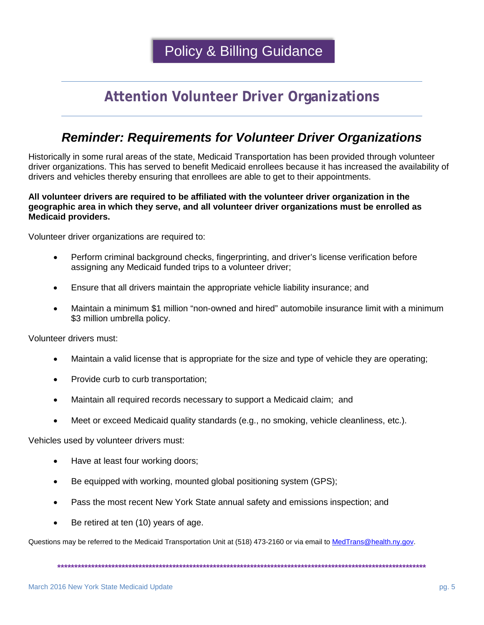**Policy & Billing Guidance** 

# **Attention Volunteer Driver Organizations**

### **Reminder: Requirements for Volunteer Driver Organizations**

Historically in some rural areas of the state, Medicaid Transportation has been provided through volunteer driver organizations. This has served to benefit Medicaid enrollees because it has increased the availability of drivers and vehicles thereby ensuring that enrollees are able to get to their appointments.

#### All volunteer drivers are required to be affiliated with the volunteer driver organization in the geographic area in which they serve, and all volunteer driver organizations must be enrolled as **Medicaid providers.**

Volunteer driver organizations are required to:

- Perform criminal background checks, fingerprinting, and driver's license verification before  $\bullet$ assigning any Medicaid funded trips to a volunteer driver;
- Ensure that all drivers maintain the appropriate vehicle liability insurance; and  $\bullet$
- Maintain a minimum \$1 million "non-owned and hired" automobile insurance limit with a minimum \$3 million umbrella policy.

Volunteer drivers must:

- Maintain a valid license that is appropriate for the size and type of vehicle they are operating;
- Provide curb to curb transportation;  $\bullet$
- Maintain all required records necessary to support a Medicaid claim; and
- Meet or exceed Medicaid quality standards (e.g., no smoking, vehicle cleanliness, etc.).

Vehicles used by volunteer drivers must:

- Have at least four working doors;  $\bullet$
- Be equipped with working, mounted global positioning system (GPS);
- Pass the most recent New York State annual safety and emissions inspection; and
- Be retired at ten (10) years of age.

Questions may be referred to the Medicaid Transportation Unit at (518) 473-2160 or via email to MedTrans@health.ny.gov.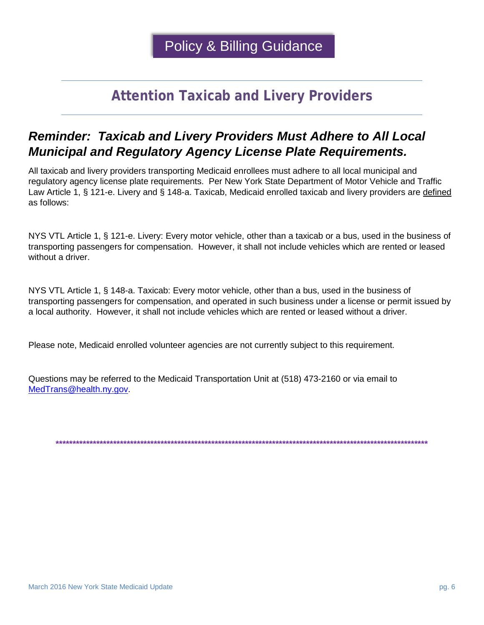# **Attention Taxicab and Livery Providers**

### **Reminder: Taxicab and Livery Providers Must Adhere to All Local Municipal and Regulatory Agency License Plate Requirements.**

All taxicab and livery providers transporting Medicaid enrollees must adhere to all local municipal and regulatory agency license plate requirements. Per New York State Department of Motor Vehicle and Traffic Law Article 1, § 121-e. Livery and § 148-a. Taxicab, Medicaid enrolled taxicab and livery providers are defined as follows:

NYS VTL Article 1, § 121-e. Livery: Every motor vehicle, other than a taxicab or a bus, used in the business of transporting passengers for compensation. However, it shall not include vehicles which are rented or leased without a driver.

NYS VTL Article 1, § 148-a. Taxicab: Every motor vehicle, other than a bus, used in the business of transporting passengers for compensation, and operated in such business under a license or permit issued by a local authority. However, it shall not include vehicles which are rented or leased without a driver.

Please note, Medicaid enrolled volunteer agencies are not currently subject to this requirement.

Questions may be referred to the Medicaid Transportation Unit at (518) 473-2160 or via email to MedTrans@health.nv.gov.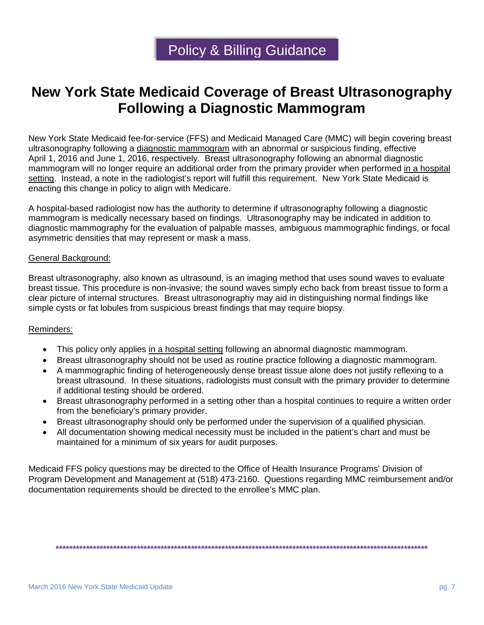### **New York State Medicaid Coverage of Breast Ultrasonography Following a Diagnostic Mammogram**

New York State Medicaid fee-for-service (FFS) and Medicaid Managed Care (MMC) will begin covering breast ultrasonography following a diagnostic mammogram with an abnormal or suspicious finding, effective April 1, 2016 and June 1, 2016, respectively. Breast ultrasonography following an abnormal diagnostic mammogram will no longer require an additional order from the primary provider when performed in a hospital setting. Instead, a note in the radiologist's report will fulfill this requirement. New York State Medicaid is enacting this change in policy to align with Medicare.

A hospital-based radiologist now has the authority to determine if ultrasonography following a diagnostic mammogram is medically necessary based on findings. Ultrasonography may be indicated in addition to diagnostic mammography for the evaluation of palpable masses, ambiguous mammographic findings, or focal asymmetric densities that may represent or mask a mass.

#### General Background:

Breast ultrasonography, also known as ultrasound, is an imaging method that uses sound waves to evaluate breast tissue. This procedure is non-invasive; the sound waves simply echo back from breast tissue to form a clear picture of internal structures. Breast ultrasonography may aid in distinguishing normal findings like simple cysts or fat lobules from suspicious breast findings that may require biopsy.

#### Reminders:

- This policy only applies in a hospital setting following an abnormal diagnostic mammogram.
- Breast ultrasonography should not be used as routine practice following a diagnostic mammogram.
- A mammographic finding of heterogeneously dense breast tissue alone does not justify reflexing to a breast ultrasound. In these situations, radiologists must consult with the primary provider to determine if additional testing should be ordered.
- Breast ultrasonography performed in a setting other than a hospital continues to require a written order from the beneficiary's primary provider.
- Breast ultrasonography should only be performed under the supervision of a qualified physician.
- All documentation showing medical necessity must be included in the patient's chart and must be maintained for a minimum of six years for audit purposes.

Medicaid FFS policy questions may be directed to the Office of Health Insurance Programs' Division of Program Development and Management at (518) 473-2160. Questions regarding MMC reimbursement and/or documentation requirements should be directed to the enrollee's MMC plan.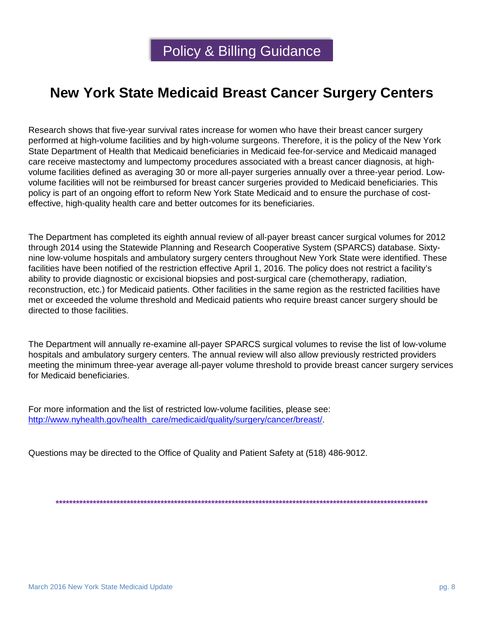# **New York State Medicaid Breast Cancer Surgery Centers**

Research shows that five-year survival rates increase for women who have their breast cancer surgery performed at high-volume facilities and by high-volume surgeons. Therefore, it is the policy of the New York State Department of Health that Medicaid beneficiaries in Medicaid fee-for-service and Medicaid managed care receive mastectomy and lumpectomy procedures associated with a breast cancer diagnosis, at highvolume facilities defined as averaging 30 or more all-payer surgeries annually over a three-year period. Lowvolume facilities will not be reimbursed for breast cancer surgeries provided to Medicaid beneficiaries. This policy is part of an ongoing effort to reform New York State Medicaid and to ensure the purchase of costeffective, high-quality health care and better outcomes for its beneficiaries.

The Department has completed its eighth annual review of all-payer breast cancer surgical volumes for 2012 through 2014 using the Statewide Planning and Research Cooperative System (SPARCS) database. Sixtynine low-volume hospitals and ambulatory surgery centers throughout New York State were identified. These facilities have been notified of the restriction effective April 1, 2016. The policy does not restrict a facility's ability to provide diagnostic or excisional biopsies and post-surgical care (chemotherapy, radiation, reconstruction, etc.) for Medicaid patients. Other facilities in the same region as the restricted facilities have met or exceeded the volume threshold and Medicaid patients who require breast cancer surgery should be directed to those facilities.

The Department will annually re-examine all-payer SPARCS surgical volumes to revise the list of low-volume hospitals and ambulatory surgery centers. The annual review will also allow previously restricted providers meeting the minimum three-year average all-payer volume threshold to provide breast cancer surgery services for Medicaid beneficiaries.

For more information and the list of restricted low-volume facilities, please see: [http://www.nyhealth.gov/health\\_care/medicaid/quality/surgery/cancer/breast/.](http://www.nyhealth.gov/health_care/medicaid/quality/surgery/cancer/breast/)

Questions may be directed to the Office of Quality and Patient Safety at (518) 486-9012.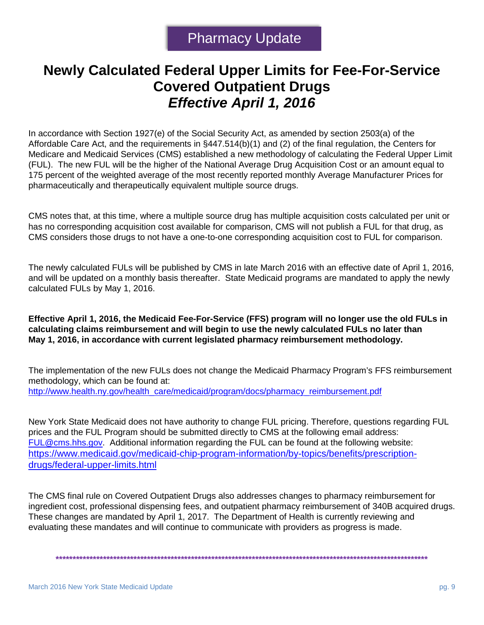# **Newly Calculated Federal Upper Limits for Fee-For-Service Covered Outpatient Drugs** *Effective April 1, 2016*

In accordance with Section 1927(e) of the Social Security Act, as amended by section 2503(a) of the Affordable Care Act, and the requirements in §447.514(b)(1) and (2) of the final regulation, the Centers for Medicare and Medicaid Services (CMS) established a new methodology of calculating the Federal Upper Limit (FUL). The new FUL will be the higher of the National Average Drug Acquisition Cost or an amount equal to 175 percent of the weighted average of the most recently reported monthly Average Manufacturer Prices for pharmaceutically and therapeutically equivalent multiple source drugs.

CMS notes that, at this time, where a multiple source drug has multiple acquisition costs calculated per unit or has no corresponding acquisition cost available for comparison, CMS will not publish a FUL for that drug, as CMS considers those drugs to not have a one-to-one corresponding acquisition cost to FUL for comparison.

The newly calculated FULs will be published by CMS in late March 2016 with an effective date of April 1, 2016, and will be updated on a monthly basis thereafter. State Medicaid programs are mandated to apply the newly calculated FULs by May 1, 2016.

**Effective April 1, 2016, the Medicaid Fee-For-Service (FFS) program will no longer use the old FULs in calculating claims reimbursement and will begin to use the newly calculated FULs no later than May 1, 2016, in accordance with current legislated pharmacy reimbursement methodology.** 

The implementation of the new FULs does not change the Medicaid Pharmacy Program's FFS reimbursement methodology, which can be found at: [http://www.health.ny.gov/health\\_care/medicaid/program/docs/pharmacy\\_reimbursement.pdf](http://www.health.ny.gov/health_care/medicaid/program/docs/pharmacy_reimbursement.pdf)

New York State Medicaid does not have authority to change FUL pricing. Therefore, questions regarding FUL prices and the FUL Program should be submitted directly to CMS at the following email address: [FUL@cms.hhs.gov.](mailto:FUL@cms.hhs.gov) Additional information regarding the FUL can be found at the following website: [https://www.medicaid.gov/medicaid-chip-program-information/by-topics/benefits/prescription](https://www.medicaid.gov/medicaid-chip-program-information/by-topics/benefits/prescription-drugs/federal-upper-limits.html)[drugs/federal-upper-limits.html](https://www.medicaid.gov/medicaid-chip-program-information/by-topics/benefits/prescription-drugs/federal-upper-limits.html)

The CMS final rule on Covered Outpatient Drugs also addresses changes to pharmacy reimbursement for ingredient cost, professional dispensing fees, and outpatient pharmacy reimbursement of 340B acquired drugs. These changes are mandated by April 1, 2017. The Department of Health is currently reviewing and evaluating these mandates and will continue to communicate with providers as progress is made.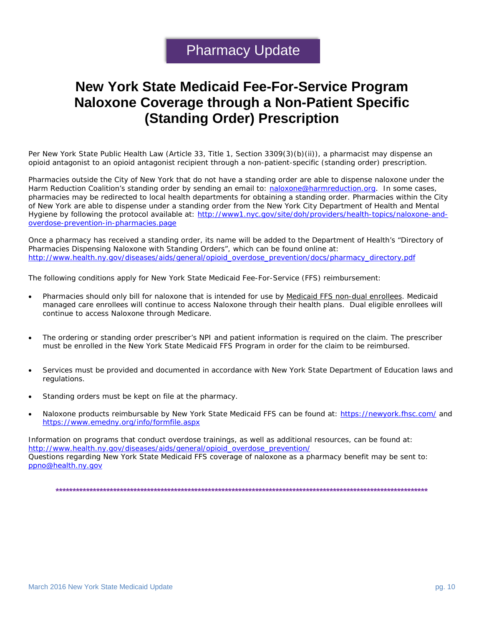### **New York State Medicaid Fee-For-Service Program Naloxone Coverage through a Non-Patient Specific (Standing Order) Prescription**

Per New York State Public Health Law (Article 33, Title 1, Section 3309(3)(b)(ii)), a pharmacist may dispense an opioid antagonist to an opioid antagonist recipient through a non-patient-specific (standing order) prescription.

Pharmacies outside the City of New York that do not have a standing order are able to dispense naloxone under the Harm Reduction Coalition's standing order by sending an email to: [naloxone@harmreduction.org.](mailto:naloxone@harmreduction.org) In some cases, pharmacies may be redirected to local health departments for obtaining a standing order. Pharmacies within the City of New York are able to dispense under a standing order from the New York City Department of Health and Mental Hygiene by following the protocol available at: [http://www1.nyc.gov/site/doh/providers/health-topics/naloxone-and](http://www1.nyc.gov/site/doh/providers/health-topics/naloxone-and-overdose-prevention-in-pharmacies.page)[overdose-prevention-in-pharmacies.page](http://www1.nyc.gov/site/doh/providers/health-topics/naloxone-and-overdose-prevention-in-pharmacies.page)

Once a pharmacy has received a standing order, its name will be added to the Department of Health's "Directory of Pharmacies Dispensing Naloxone with Standing Orders", which can be found online at: [http://www.health.ny.gov/diseases/aids/general/opioid\\_overdose\\_prevention/docs/pharmacy\\_directory.pdf](http://www.health.ny.gov/diseases/aids/general/opioid_overdose_prevention/docs/pharmacy_directory.pdf)

The following conditions apply for New York State Medicaid Fee-For-Service (FFS) reimbursement:

- Pharmacies should only bill for naloxone that is intended for use by Medicaid FFS non-dual enrollees. Medicaid managed care enrollees will continue to access Naloxone through their health plans. Dual eligible enrollees will continue to access Naloxone through Medicare.
- The ordering or standing order prescriber's NPI and patient information is required on the claim. The prescriber must be enrolled in the New York State Medicaid FFS Program in order for the claim to be reimbursed.
- Services must be provided and documented in accordance with New York State Department of Education laws and regulations.
- Standing orders must be kept on file at the pharmacy.
- Naloxone products reimbursable by New York State Medicaid FFS can be found at:<https://newyork.fhsc.com/> and <https://www.emedny.org/info/formfile.aspx>

Information on programs that conduct overdose trainings, as well as additional resources, can be found at: [http://www.health.ny.gov/diseases/aids/general/opioid\\_overdose\\_prevention/](http://www.health.ny.gov/diseases/aids/general/opioid_overdose_prevention/)  Questions regarding New York State Medicaid FFS coverage of naloxone as a pharmacy benefit may be sent to: [ppno@health.ny.gov](mailto:ppno@health.ny.gov)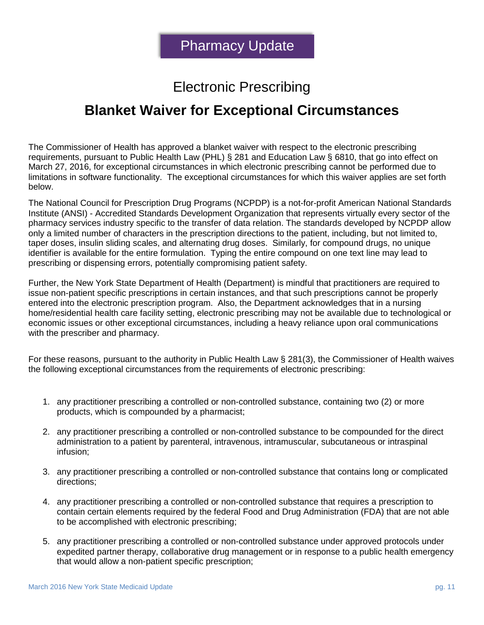# Electronic Prescribing

### **Blanket Waiver for Exceptional Circumstances**

The Commissioner of Health has approved a blanket waiver with respect to the electronic prescribing requirements, pursuant to Public Health Law (PHL) § 281 and Education Law § 6810, that go into effect on March 27, 2016, for exceptional circumstances in which electronic prescribing cannot be performed due to limitations in software functionality. The exceptional circumstances for which this waiver applies are set forth below.

The National Council for Prescription Drug Programs (NCPDP) is a not-for-profit American National Standards Institute (ANSI) - Accredited Standards Development Organization that represents virtually every sector of the pharmacy services industry specific to the transfer of data relation. The standards developed by NCPDP allow only a limited number of characters in the prescription directions to the patient, including, but not limited to, taper doses, insulin sliding scales, and alternating drug doses. Similarly, for compound drugs, no unique identifier is available for the entire formulation. Typing the entire compound on one text line may lead to prescribing or dispensing errors, potentially compromising patient safety.

Further, the New York State Department of Health (Department) is mindful that practitioners are required to issue non-patient specific prescriptions in certain instances, and that such prescriptions cannot be properly entered into the electronic prescription program. Also, the Department acknowledges that in a nursing home/residential health care facility setting, electronic prescribing may not be available due to technological or economic issues or other exceptional circumstances, including a heavy reliance upon oral communications with the prescriber and pharmacy.

For these reasons, pursuant to the authority in Public Health Law § 281(3), the Commissioner of Health waives the following exceptional circumstances from the requirements of electronic prescribing:

- 1. any practitioner prescribing a controlled or non-controlled substance, containing two (2) or more products, which is compounded by a pharmacist;
- 2. any practitioner prescribing a controlled or non-controlled substance to be compounded for the direct administration to a patient by parenteral, intravenous, intramuscular, subcutaneous or intraspinal infusion;
- 3. any practitioner prescribing a controlled or non-controlled substance that contains long or complicated directions;
- 4. any practitioner prescribing a controlled or non-controlled substance that requires a prescription to contain certain elements required by the federal Food and Drug Administration (FDA) that are not able to be accomplished with electronic prescribing;
- 5. any practitioner prescribing a controlled or non-controlled substance under approved protocols under expedited partner therapy, collaborative drug management or in response to a public health emergency that would allow a non-patient specific prescription;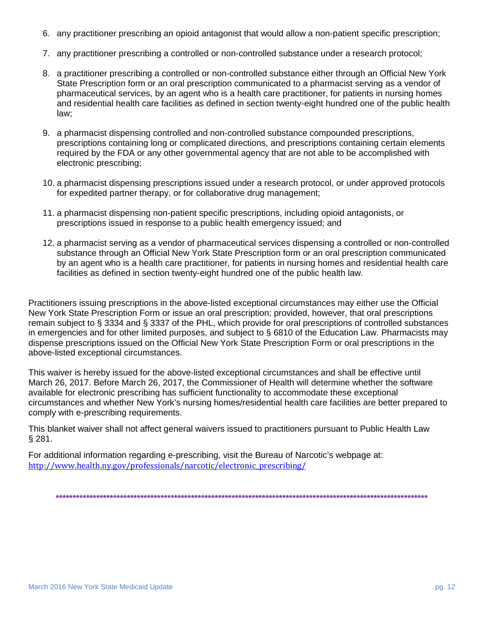- 6. any practitioner prescribing an opioid antagonist that would allow a non-patient specific prescription;
- 7. any practitioner prescribing a controlled or non-controlled substance under a research protocol;
- 8. a practitioner prescribing a controlled or non-controlled substance either through an Official New York State Prescription form or an oral prescription communicated to a pharmacist serving as a vendor of pharmaceutical services, by an agent who is a health care practitioner, for patients in nursing homes and residential health care facilities as defined in section twenty-eight hundred one of the public health law;
- 9. a pharmacist dispensing controlled and non-controlled substance compounded prescriptions, prescriptions containing long or complicated directions, and prescriptions containing certain elements required by the FDA or any other governmental agency that are not able to be accomplished with electronic prescribing;
- 10. a pharmacist dispensing prescriptions issued under a research protocol, or under approved protocols for expedited partner therapy, or for collaborative drug management;
- 11. a pharmacist dispensing non-patient specific prescriptions, including opioid antagonists, or prescriptions issued in response to a public health emergency issued; and
- 12. a pharmacist serving as a vendor of pharmaceutical services dispensing a controlled or non-controlled substance through an Official New York State Prescription form or an oral prescription communicated by an agent who is a health care practitioner, for patients in nursing homes and residential health care facilities as defined in section twenty-eight hundred one of the public health law.

Practitioners issuing prescriptions in the above-listed exceptional circumstances may either use the Official New York State Prescription Form or issue an oral prescription; provided, however, that oral prescriptions remain subject to § 3334 and § 3337 of the PHL, which provide for oral prescriptions of controlled substances in emergencies and for other limited purposes, and subject to § 6810 of the Education Law. Pharmacists may dispense prescriptions issued on the Official New York State Prescription Form or oral prescriptions in the above-listed exceptional circumstances.

This waiver is hereby issued for the above-listed exceptional circumstances and shall be effective until March 26, 2017. Before March 26, 2017, the Commissioner of Health will determine whether the software available for electronic prescribing has sufficient functionality to accommodate these exceptional circumstances and whether New York's nursing homes/residential health care facilities are better prepared to comply with e-prescribing requirements.

This blanket waiver shall not affect general waivers issued to practitioners pursuant to Public Health Law § 281.

For additional information regarding e-prescribing, visit the Bureau of Narcotic's webpage at: [http://www.health.ny.gov/professionals/narcotic/electronic\\_prescribing/](http://www.health.ny.gov/professionals/narcotic/electronic_prescribing/)